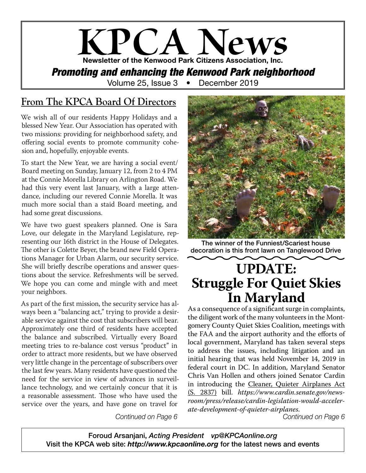# **KPCA News** Newsletter of the Kenwood Park Citizens Association, Inc. *Promoting and enhancing the Kenwood Park neighborhood* Volume 25, Issue 3 • December 2019

### **From The KPCA Board Of Directors**

We wish all of our residents Happy Holidays and a blessed New Year. Our Association has operated with two missions: providing for neighborhood safety, and offering social events to promote community cohesion and, hopefully, enjoyable events.

To start the New Year, we are having a social event/ Board meeting on Sunday, January 12, from 2 to 4 PM at the Connie Morella Library on Arlington Road. We had this very event last January, with a large attendance, including our revered Connie Morella. It was much more social than a staid Board meeting, and had some great discussions.

We have two guest speakers planned. One is Sara Love, our delegate in the Maryland Legislature, representing our 16th district in the House of Delegates. The other is Colette Beyer, the brand new Field Operations Manager for Urban Alarm, our security service. She will briefly describe operations and answer questions about the service. Refreshments will be served. We hope you can come and mingle with and meet your neighbors.

As part of the first mission, the security service has always been a "balancing act," trying to provide a desirable service against the cost that subscribers will bear. Approximately one third of residents have accepted the balance and subscribed. Virtually every Board meeting tries to re-balance cost versus "product" in order to attract more residents, but we have observed very little change in the percentage of subscribers over the last few years. Many residents have questioned the need for the service in view of advances in surveillance technology, and we certainly concur that it is a reasonable assessment. Those who have used the service over the years, and have gone on travel for

*Continued on Page 6*



The winner of the Funniest/Scariest house decoration is this front lawn on Tanglewood Drive

# **UPDATE: Struggle For Quiet Skies In Maryland**

As a consequence of a significant surge in complaints, the diligent work of the many volunteers in the Montgomery County Quiet Skies Coalition, meetings with the FAA and the airport authority and the efforts of local government, Maryland has taken several steps to address the issues, including litigation and an initial hearing that was held November 14, 2019 in federal court in DC. In addition, Maryland Senator Chris Van Hollen and others joined Senator Cardin in introducing the Cleaner, Quieter Airplanes Act (S. 2837) bill. *https://www.cardin.senate.gov/newsroom/press/release/cardin-legislation-would-accelerate-development-of-quieter-airplanes*.

*Continued on Page 6*

Foroud Arsanjani, *Acting President vp@KPCAonline.org* Visit the KPCA web site: *http://www.kpcaonline.org* for the latest news and events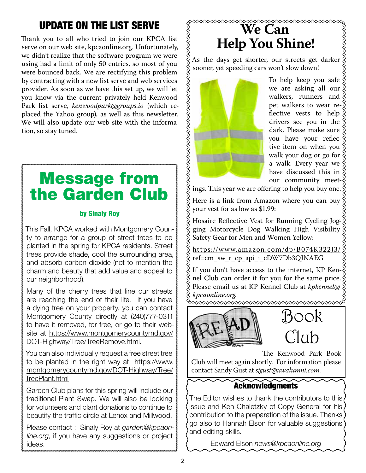# UPDATE ON THE LIST SERVE

Thank you to all who tried to join our KPCA list serve on our web site, kpcaonline.org. Unfortunately, we didn't realize that the software program we were using had a limit of only 50 entries, so most of you were bounced back. We are rectifying this problem by contracting with a new list serve and web services provider. As soon as we have this set up, we will let you know via the current privately held Kenwood Park list serve, *kenwoodpark@groups.io* (which replaced the Yahoo group), as well as this newsletter. We will also update our web site with the information, so stay tuned.

# Message from the Garden Club

#### by Sinaly Roy

This Fall, KPCA worked with Montgomery County to arrange for a group of street trees to be planted in the spring for KPCA residents. Street trees provide shade, cool the surrounding area, and absorb carbon dioxide (not to mention the charm and beauty that add value and appeal to our neighborhood).

Many of the cherry trees that line our streets are reaching the end of their life. If you have a dying tree on your property, you can contact Montgomery County directly at (240)777-0311 to have it removed, for free, or go to their website at https://www.montgomerycountymd.gov/ DOT-Highway/Tree/TreeRemove.html.

You can also individually request a free street tree to be planted in the right way at https://www. montgomerycountymd.gov/DOT-Highway/Tree/ TreePlant.html

Garden Club plans for this spring will include our traditional Plant Swap. We will also be looking for volunteers and plant donations to continue to beautify the traffic circle at Lenox and Millwood.

Please contact : Sinaly Roy at *garden@kpcaonline.org*, if you have any suggestions or project ideas.

### xxxxxxxxxxxx **We Can Help You Shine!**

**XXXXXXXXXXXXXXXXXXXXXXXXXXXXXXX** As the days get shorter, our streets get darker sooner, yet speeding cars won't slow down!



To help keep you safe we are asking all our walkers, runners and pet walkers to wear reflective vests to help drivers see you in the dark. Please make sure you have your reflective item on when you  $\{$ walk your dog or go for a walk. Every year we have discussed this in our community meet-

ings. This year we are offering to help you buy one.

Here is a link from Amazon where you can buy your vest for as low as \$1.99:

Hosaire Reflective Vest for Running Cycling Jogging Motorcycle Dog Walking High Visibility Safety Gear for Men and Women Yellow:

https://w w w.amazon.com/dp/B074K322J3/ ref=cm\_sw\_r\_cp\_api\_i\_cDW7Db3QJNAEG

If you don't have access to the internet, KP Kennel Club can order it for you for the same price. Please email us at KP Kennel Club at *kpkennel@ kpcaonline.org.*



Book  $\hat{C}$ lub

The Kenwood Park Book

Club will meet again shortly. For information please contact Sandy Gust at *sjgust@uwalumni.com*.

### Acknowledgments

The Editor wishes to thank the contributors to this issue and Ken Chaletzky of Copy General for his contribution to the preparation of the issue. Thanks go also to Hannah Elson for valuable suggestions and editing skills.

Edward Elson *news@kpcaonline.org*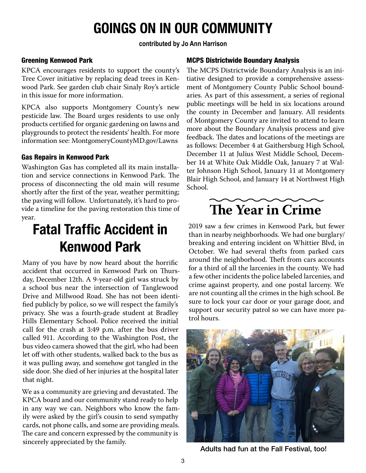# GOINGS ON IN OUR COMMUNITY

#### **contributed by Jo Ann Harrison**

#### Greening Kenwood Park

KPCA encourages residents to support the county's Tree Cover initiative by replacing dead trees in Kenwood Park. See garden club chair Sinaly Roy's article in this issue for more information.

KPCA also supports Montgomery County's new pesticide law. The Board urges residents to use only products certified for organic gardening on lawns and playgrounds to protect the residents' health. For more information see: MontgomeryCountyMD.gov/Lawns

#### Gas Repairs in Kenwood Park

Washington Gas has completed all its main installation and service connections in Kenwood Park. The process of disconnecting the old main will resume shortly after the first of the year, weather permitting; the paving will follow. Unfortunately, it's hard to provide a timeline for the paving restoration this time of year.

# Fatal Traffic Accident in Kenwood Park

Many of you have by now heard about the horrific accident that occurred in Kenwood Park on Thursday, December 12th. A 9-year-old girl was struck by a school bus near the intersection of Tanglewood Drive and Millwood Road. She has not been identified publicly by police, so we will respect the family's privacy. She was a fourth-grade student at Bradley Hills Elementary School. Police received the initial call for the crash at 3:49 p.m. after the bus driver called 911. According to the Washington Post, the bus video camera showed that the girl, who had been let off with other students, walked back to the bus as it was pulling away, and somehow got tangled in the side door. She died of her injuries at the hospital later that night.

We as a community are grieving and devastated. The KPCA board and our community stand ready to help in any way we can. Neighbors who know the family were asked by the girl's cousin to send sympathy cards, not phone calls, and some are providing meals. The care and concern expressed by the community is sincerely appreciated by the family.

#### MCPS Districtwide Boundary Analysis

The MCPS Districtwide Boundary Analysis is an initiative designed to provide a comprehensive assessment of Montgomery County Public School boundaries. As part of this assessment, a series of regional public meetings will be held in six locations around the county in December and January. All residents of Montgomery County are invited to attend to learn more about the Boundary Analysis process and give feedback. The dates and locations of the meetings are as follows: December 4 at Gaithersburg High School, December 11 at Julius West Middle School, December 14 at White Oak Middle Oak, January 7 at Walter Johnson High School, January 11 at Montgomery Blair High School, and January 14 at Northwest High School.

# **The Year in Crime**

2019 saw a few crimes in Kenwood Park, but fewer than in nearby neighborhoods. We had one burglary/ breaking and entering incident on Whittier Blvd, in October. We had several thefts from parked cars around the neighborhood. Theft from cars accounts for a third of all the larcenies in the county. We had a few other incidents the police labeled larcenies, and crime against property, and one postal larceny. We are not counting all the crimes in the high school. Be sure to lock your car door or your garage door, and support our security patrol so we can have more patrol hours.



Adults had fun at the Fall Festival, too!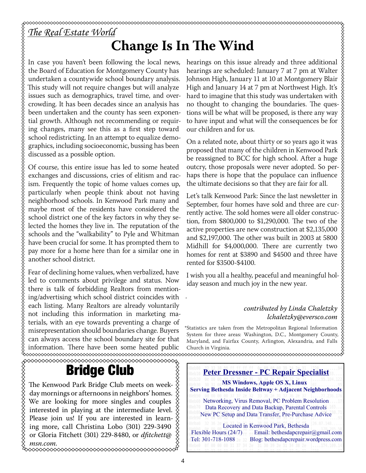## *The Real Estate World* **Change Is In The Wind**

In case you haven't been following the local news, the Board of Education for Montgomery County has undertaken a countywide school boundary analysis. This study will not require changes but will analyze issues such as demographics, travel time, and overcrowding. It has been decades since an analysis has been undertaken and the county has seen exponential growth. Although not recommending or requiring changes, many see this as a first step toward school redistricting. In an attempt to equalize demographics, including socioeconomic, bussing has been discussed as a possible option.

Of course, this entire issue has led to some heated exchanges and discussions, cries of elitism and racism. Frequently the topic of home values comes up, particularly when people think about not having neighborhood schools. In Kenwood Park many and maybe most of the residents have considered the school district one of the key factors in why they selected the homes they live in. The reputation of the schools and the "walkability" to Pyle and Whitman have been crucial for some. It has prompted them to pay more for a home here than for a similar one in another school district.

Fear of declining home values, when verbalized, have led to comments about privilege and status. Now there is talk of forbidding Realtors from mentioning/advertising which school district coincides with each listing. Many Realtors are already voluntarily not including this information in marketing materials, with an eye towards preventing a charge of misrepresentation should boundaries change. Buyers can always access the school boundary site for that information. There have been some heated public

### Bridge Club

The Kenwood Park Bridge Club meets on week- $\frac{\times}{2}$ day mornings or afternoons in neighbors' homes.  $\hat{\chi}$ We are looking for more singles and couples interested in playing at the intermediate level.  $\zeta$ Please join us! If you are interested in learning more, call Christina Lobo (301) 229-3490 or Gloria Fitchett (301) 229-8480, or *dfitchett@ msn.com.*

hearings on this issue already and three additional hearings are scheduled: January 7 at 7 pm at Walter Johnson High, January 11 at 10 at Montgomery Blair High and January 14 at 7 pm at Northwest High. It's hard to imagine that this study was undertaken with no thought to changing the boundaries. The questions will be what will be proposed, is there any way to have input and what will the consequences be for our children and for us.

On a related note, about thirty or so years ago it was proposed that many of the children in Kenwood Park be reassigned to BCC for high school. After a huge outcry, those proposals were never adopted. So perhaps there is hope that the populace can influence the ultimate decisions so that they are fair for all.

Let's talk Kenwood Park: Since the last newsletter in September, four homes have sold and three are currently active. The sold homes were all older construction, from \$800,000 to \$1,290,000. The two of the active properties are new construction at \$2,135,000 and \$2,197,000. The other was built in 2003 at 5800 Midhill for \$4,000,000. There are currently two homes for rent at \$3890 and \$4500 and three have rented for \$3500-\$4100.

I wish you all a healthy, peaceful and meaningful holiday season and much joy in the new year.

### *contributed by Linda Chaletzky lchaletzky@eversco.com*

\*Statistics are taken from the Metropolitan Regional Information System for three areas: Washington, D.C., Montgomery County, Maryland, and Fairfax County, Arlington, Alexandria, and Falls Church in Virginia.



.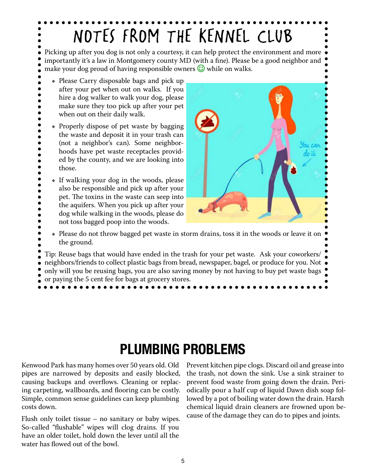# NOTES FROM THE KENNEL CLUB

Picking up after you dog is not only a courtesy, it can help protect the environment and more importantly it's a law in Montgomery county MD (with a fine). Please be a good neighbor and make your dog proud of having responsible owners  $\odot$  while on walks.

- Please Carry disposable bags and pick up after your pet when out on walks. If you hire a dog walker to walk your dog, please make sure they too pick up after your pet when out on their daily walk.
- Properly dispose of pet waste by bagging the waste and deposit it in your trash can (not a neighbor's can). Some neighborhoods have pet waste receptacles provided by the county, and we are looking into those.
- If walking your dog in the woods, please also be responsible and pick up after your pet. The toxins in the waste can seep into the aquifers. When you pick up after your dog while walking in the woods, please do not toss bagged poop into the woods.



- Please do not throw bagged pet waste in storm drains, toss it in the woods or leave it on the ground.
- Tip: Reuse bags that would have ended in the trash for your pet waste. Ask your coworkers/ neighbors/friends to collect plastic bags from bread, newspaper, bagel, or produce for you. Not only will you be reusing bags, you are also saving money by not having to buy pet waste bags or paying the 5 cent fee for bags at grocery stores.

# PLUMBING PROBLEMS

Kenwood Park has many homes over 50 years old. Old pipes are narrowed by deposits and easily blocked, causing backups and overflows. Cleaning or replacing carpeting, wallboards, and flooring can be costly. Simple, common sense guidelines can keep plumbing costs down.

Flush only toilet tissue – no sanitary or baby wipes. So-called "flushable" wipes will clog drains. If you have an older toilet, hold down the lever until all the water has flowed out of the bowl.

Prevent kitchen pipe clogs. Discard oil and grease into the trash, not down the sink. Use a sink strainer to prevent food waste from going down the drain. Periodically pour a half cup of liquid Dawn dish soap followed by a pot of boiling water down the drain. Harsh chemical liquid drain cleaners are frowned upon because of the damage they can do to pipes and joints.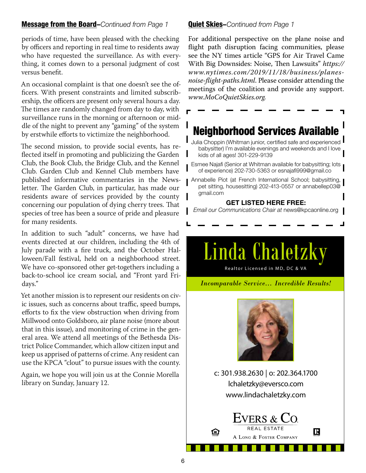#### Message from the Board–*Continued from Page 1*

periods of time, have been pleased with the checking by officers and reporting in real time to residents away who have requested the surveillance. As with everything, it comes down to a personal judgment of cost versus benefit.

An occasional complaint is that one doesn't see the officers. With present constraints and limited subscribership, the officers are present only several hours a day. The times are randomly changed from day to day, with surveillance runs in the morning or afternoon or middle of the night to prevent any "gaming" of the system by erstwhile efforts to victimize the neighborhood.

The second mission, to provide social events, has reflected itself in promoting and publicizing the Garden Club, the Book Club, the Bridge Club, and the Kennel Club. Garden Club and Kennel Club members have published informative commentaries in the Newsletter. The Garden Club, in particular, has made our residents aware of services provided by the county concerning our population of dying cherry trees. That species of tree has been a source of pride and pleasure for many residents.

In addition to such "adult" concerns, we have had events directed at our children, including the 4th of July parade with a fire truck, and the October Halloween/Fall festival, held on a neighborhood street. We have co-sponsored other get-togethers including a back-to-school ice cream social, and "Front yard Fridays."

Yet another mission is to represent our residents on civic issues, such as concerns about traffic, speed bumps, efforts to fix the view obstruction when driving from Millwood onto Goldsboro, air plane noise (more about that in this issue), and monitoring of crime in the general area. We attend all meetings of the Bethesda District Police Commander, which allow citizen input and keep us apprised of patterns of crime. Any resident can use the KPCA "clout" to pursue issues with the county.

Again, we hope you will join us at the Connie Morella library on Sunday, January 12.

#### Quiet Skies–*Continued from Page 1*

For additional perspective on the plane noise and flight path disruption facing communities, please see the NY times article "GPS for Air Travel Came With Big Downsides: Noise, Then Lawsuits" *https:// www.nytimes.com/2019/11/18/business/planesnoise-flight-paths.html*. Please consider attending the meetings of the coalition and provide any support. *www.MoCoQuietSkies.org.*

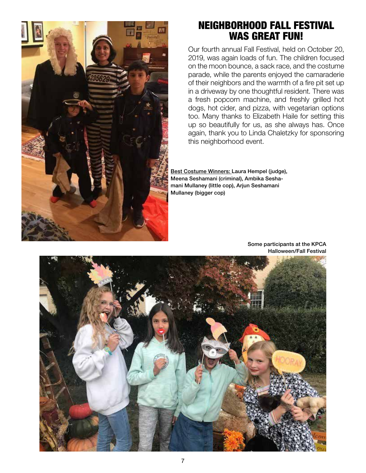

### NEIGHBORHOOD FALL FESTIVAL WAS GREAT FUN!

Our fourth annual Fall Festival, held on October 20, 2019, was again loads of fun. The children focused on the moon bounce, a sack race, and the costume parade, while the parents enjoyed the camaraderie of their neighbors and the warmth of a fire pit set up in a driveway by one thoughtful resident. There was a fresh popcorn machine, and freshly grilled hot dogs, hot cider, and pizza, with vegetarian options too. Many thanks to Elizabeth Haile for setting this up so beautifully for us, as she always has. Once again, thank you to Linda Chaletzky for sponsoring this neighborhood event.

Best Costume Winners: Laura Hempel (judge), Meena Seshamani (criminal), Ambika Seshamani Mullaney (little cop), Arjun Seshamani Mullaney (bigger cop)



Some participants at the KPCA Halloween/Fall Festival